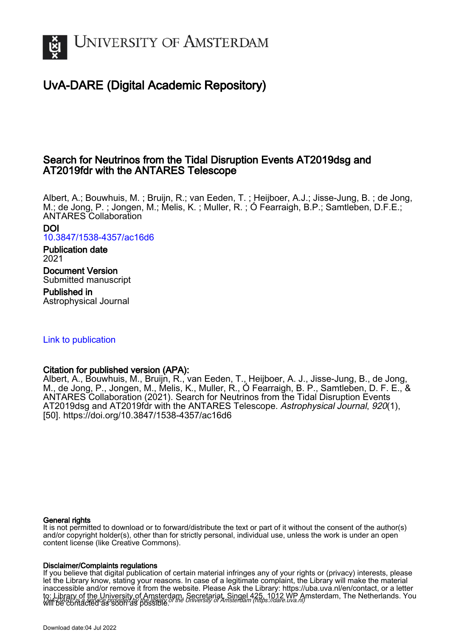

## UvA-DARE (Digital Academic Repository)

## Search for Neutrinos from the Tidal Disruption Events AT2019dsg and AT2019fdr with the ANTARES Telescope

Albert, A.; Bouwhuis, M. ; Bruijn, R.; van Eeden, T. ; Heijboer, A.J.; Jisse-Jung, B. ; de Jong, M.; de Jong, P. ; Jongen, M.; Melis, K. ; Muller, R. ; Ó Fearraigh, B.P.; Samtleben, D.F.E.; ANTARES Collaboration

DOI [10.3847/1538-4357/ac16d6](https://doi.org/10.3847/1538-4357/ac16d6)

Publication date 2021

Document Version Submitted manuscript

Published in Astrophysical Journal

### [Link to publication](https://dare.uva.nl/personal/pure/en/publications/search-for-neutrinos-from-the-tidal-disruption-events-at2019dsg-and-at2019fdr-with-the-antares-telescope(2b055a14-3e33-4a1f-bf22-061bf60017b1).html)

### Citation for published version (APA):

Albert, A., Bouwhuis, M., Bruijn, R., van Eeden, T., Heijboer, A. J., Jisse-Jung, B., de Jong, M., de Jong, P., Jongen, M., Melis, K., Muller, R., Ó Fearraigh, B. P., Samtleben, D. F. E., & ANTARES Collaboration (2021). Search for Neutrinos from the Tidal Disruption Events AT2019dsg and AT2019fdr with the ANTARES Telescope. Astrophysical Journal, 920(1), [50]. <https://doi.org/10.3847/1538-4357/ac16d6>

#### General rights

It is not permitted to download or to forward/distribute the text or part of it without the consent of the author(s) and/or copyright holder(s), other than for strictly personal, individual use, unless the work is under an open content license (like Creative Commons).

#### Disclaimer/Complaints regulations

UvA-DARE is a service provided by the library of the University of Amsterdam (http*s*://dare.uva.nl) If you believe that digital publication of certain material infringes any of your rights or (privacy) interests, please let the Library know, stating your reasons. In case of a legitimate complaint, the Library will make the material inaccessible and/or remove it from the website. Please Ask the Library: https://uba.uva.nl/en/contact, or a letter to: Library of the University of Amsterdam, Secretariat, Singel 425, 1012 WP Amsterdam, The Netherlands. You will be contacted as soon as possible.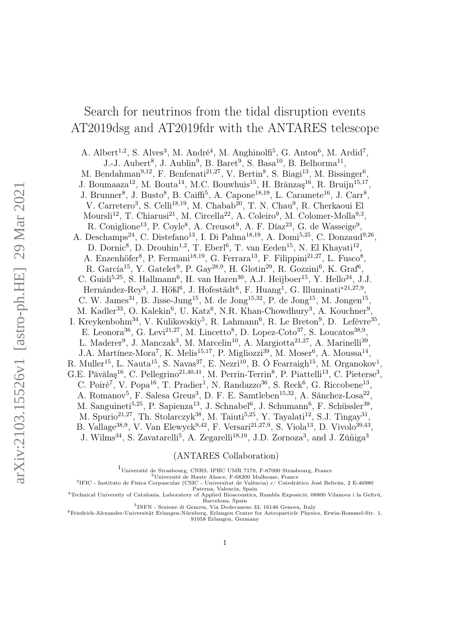# Search for neutrinos from the tidal disruption events AT2019dsg and AT2019fdr with the ANTARES telescope

A. Albert<sup>1,2</sup>, S. Alves<sup>3</sup>, M. André<sup>4</sup>, M. Anghinolfi<sup>5</sup>, G. Anton<sup>6</sup>, M. Ardid<sup>7</sup>, J.-J. Aubert<sup>8</sup>, J. Aublin<sup>9</sup>, B. Baret<sup>9</sup>, S. Basa<sup>10</sup>, B. Belhorma<sup>11</sup>, M. Bendahman<sup>9,12</sup>, F. Benfenati<sup>21,27</sup>, V. Bertin<sup>8</sup>, S. Biagi<sup>13</sup>, M. Bissinger<sup>6</sup>, J. Boumaaza<sup>12</sup>, M. Bouta<sup>14</sup>, M.C. Bouwhuis<sup>15</sup>, H. Brânzaş<sup>16</sup>, R. Bruijn<sup>15,17</sup>, J. Brunner<sup>8</sup>, J. Busto<sup>8</sup>, B. Caiffi<sup>5</sup>, A. Capone<sup>18,19</sup>, L. Caramete<sup>16</sup>, J. Carr<sup>8</sup>, V. Carretero<sup>3</sup>, S. Celli<sup>18,19</sup>, M. Chabab<sup>20</sup>, T. N. Chau<sup>9</sup>, R. Cherkaoui El Moursli<sup>12</sup>, T. Chiarusi<sup>21</sup>, M. Circella<sup>22</sup>, A. Coleiro<sup>9</sup>, M. Colomer-Molla<sup>9,3</sup>, R. Coniglione<sup>13</sup>, P. Coyle<sup>8</sup>, A. Creusot<sup>9</sup>, A. F. Díaz<sup>23</sup>, G. de Wasseige<sup>9</sup>, A. Deschamps<sup>24</sup>, C. Distefano<sup>13</sup>, I. Di Palma<sup>18,19</sup>, A. Domi<sup>5,25</sup>, C. Donzaud<sup>9,26</sup>, D. Dornic<sup>8</sup>, D. Drouhin<sup>1,2</sup>, T. Eberl<sup>6</sup>, T. van Eeden<sup>15</sup>, N. El Khayati<sup>12</sup>, A. Enzenhöfer<sup>8</sup>, P. Fermani<sup>18,19</sup>, G. Ferrara<sup>13</sup>, F. Filippini<sup>21,27</sup>, L. Fusco<sup>8</sup>, R. García<sup>15</sup>, Y. Gatelet<sup>9</sup>, P. Gay<sup>28,9</sup>, H. Glotin<sup>29</sup>, R. Gozzini<sup>6</sup>, K. Graf<sup>6</sup>, C. Guidi<sup>5,25</sup>, S. Hallmann<sup>6</sup>, H. van Haren<sup>30</sup>, A.J. Heijboer<sup>15</sup>, Y. Hello<sup>24</sup>, J.J. Hernández-Rey<sup>3</sup>, J. Hößl<sup>6</sup>, J. Hofestädt<sup>6</sup>, F. Huang<sup>1</sup>, G. Illuminati<sup>\*21,27,9</sup>, C. W. James<sup>31</sup>, B. Jisse-Jung<sup>15</sup>, M. de Jong<sup>15,32</sup>, P. de Jong<sup>15</sup>, M. Jongen<sup>15</sup>, M. Kadler<sup>33</sup>, O. Kalekin<sup>6</sup>, U. Katz<sup>6</sup>, N.R. Khan-Chowdhury<sup>3</sup>, A. Kouchner<sup>9</sup>, I. Kreykenbohm<sup>34</sup>, V. Kulikovskiy<sup>5</sup>, R. Lahmann<sup>6</sup>, R. Le Breton<sup>9</sup>, D. Lefèvre<sup>35</sup>, E. Leonora<sup>36</sup>, G. Levi<sup>21,27</sup>, M. Lincetto<sup>8</sup>, D. Lopez-Coto<sup>37</sup>, S. Loucatos<sup>38,9</sup>, L. Maderer<sup>9</sup>, J. Manczak<sup>3</sup>, M. Marcelin<sup>10</sup>, A. Margiotta<sup>21,27</sup>, A. Marinelli<sup>39</sup>, J.A. Martínez-Mora<sup>7</sup>, K. Melis<sup>15,17</sup>, P. Migliozzi<sup>39</sup>, M. Moser<sup>6</sup>, A. Moussa<sup>14</sup>, R. Muller<sup>15</sup>, L. Nauta<sup>15</sup>, S. Navas<sup>37</sup>, E. Nezri<sup>10</sup>, B. Ó Fearraigh<sup>15</sup>, M. Organokov<sup>1</sup>, G.E. Păvălaș<sup>16</sup>, C. Pellegrino<sup>21,40,41</sup>, M. Perrin-Terrin<sup>8</sup>, P. Piattelli<sup>13</sup>, C. Pieterse<sup>3</sup>, C. Poirè<sup>7</sup>, V. Popa<sup>16</sup>, T. Pradier<sup>1</sup>, N. Randazzo<sup>36</sup>, S. Reck<sup>6</sup>, G. Riccobene<sup>13</sup>, A. Romanov<sup>5</sup>, F. Salesa Greus<sup>3</sup>, D. F. E. Samtleben<sup>15,32</sup>, A. Sánchez-Losa<sup>22</sup>, M. Sanguineti<sup>5,25</sup>, P. Sapienza<sup>13</sup>, J. Schnabel<sup>6</sup>, J. Schumann<sup>6</sup>, F. Schüssler<sup>38</sup>, M. Spurio<sup>21,27</sup>, Th. Stolarczyk<sup>38</sup>, M. Taiuti<sup>5,25</sup>, Y. Tayalati<sup>12</sup>, S.J. Tingay<sup>31</sup>, B. Vallage<sup>38,9</sup>, V. Van Elewyck<sup>9,42</sup>, F. Versari<sup>21,27,9</sup>, S. Viola<sup>13</sup>, D. Vivolo<sup>39,43</sup>, J. Wilms<sup>34</sup>, S. Zavatarelli<sup>5</sup>, A. Zegarelli<sup>18,19</sup>, J.D. Zornoza<sup>3</sup>, and J. Zúñiga<sup>3</sup>

#### (ANTARES Collaboration)

<sup>1</sup>Université de Strasbourg, CNRS, IPHC UMR 7178, F-67000 Strasbourg, France <sup>2</sup>Université de Haute Alsace, F-68200 Mulhouse, France 3 IFIC - Instituto de Física Corpuscular (CSIC - Universitat de València) c/ Catedrático José Beltrán, 2 E-46980 Paterna, Valencia, Spain <sup>4</sup>Technical University of Catalonia, Laboratory of Applied Bioacoustics, Rambla Exposició, 08800 Vilanova i la Geltrú,

Barcelona, Spain

5 INFN - Sezione di Genova, Via Dodecaneso 33, 16146 Genova, Italy

<sup>6</sup>Friedrich-Alexander-Universität Erlangen-Nürnberg, Erlangen Centre for Astroparticle Physics, Erwin-Rommel-Str. 1, 91058 Erlangen, Germany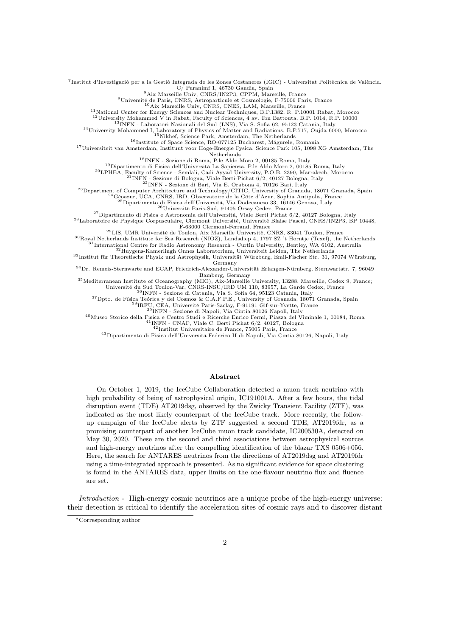7 Institut d'Investigació per a la Gestió Integrada de les Zones Costaneres (IGIC) - Universitat Politècnica de València.

 $C/$  Paranimf 1, 46730 Gandia, Spain<br><sup>8</sup> Aix Marseille Univ, CNRS/IN2P3, CPPM, Marseille, France<br><sup>9</sup> Université de Paris, CNRS, Astroparticule et Cosmologie, F-75006 Paris, France<br><sup>10</sup> Aix Marseille Univ, CNRS, CNES, LAM,

<sup>11</sup>National Center for Energy Sciences and Nuclear Techniques, B.P.1382, R. P.10001 Rabat, Morocco

<sup>12</sup>University Mohammed V in Rabat, Faculty of Sciences,  $\overline{4}$  av. Ibn Battouta, B.P. 1014, R.P. 10000<br><sup>13</sup>INFN - Laboratori Nazionali del Sud (LNS), Via S. Sofia 62, 95123 Catania, Italy

<sup>14</sup>University Mohammed I, Laboratory of Physics of Matter and Radiations, B.P.717, Oujda 6000, Morocco

<sup>15</sup>Nikhef, Science Park, Amsterdam, The Netherlands<br><sup>16</sup>Institute of Space Science, RO-077125 Bucharest, Măgurele, Romania

<sup>17</sup>Universiteit van Amsterdam, Instituut voor Hoge-Energie Fysica, Science Park 105, 1098 XG Amsterdam, The Netherlands

<sup>18</sup>INFN - Sezione di Roma, P.le Aldo Moro 2, 00185 Roma, Italy

 $^{19}\rm{Dipartimento}$ di Fisica dell'Università La Sapienza, P.le Aldo Moro 2, 00185 Roma, Italy

<sup>20</sup>LPHEA, Faculty of Science - Semlali, Cadi Ayyad University, P.O.B. 2390, Marrakech, Morocco.<br><sup>21</sup>INFN - Sezione di Bologna, Viale Berti-Pichat 6/2, 40127 Bologna, Italy

<sup>22</sup>INFN - Sezione di Bari, Via E. Orabona 4, 70126 Bari, Italy

<sup>23</sup>Department of Computer Architecture and Technology/CITIC, University of Granada, 18071 Granada, Spain

 $^{24}$ Géoazur, UCA, CNRS, IRD, Observatoire de la Côte d'Azur, Sophia Antipolis, France $^{25}$ Dipartimento di Fisica dell'Università, Via Dodecaneso 33, 16146 Genova, Italy $^{26}$ Université Paris-Sud, 91405 Orsay Cedex, Fra

<sup>28</sup>Laboratoire de Physique Corpusculaire, Clermont Université, Université Blaise Pascal, CNRS/IN2P3, BP 10448,<br>F-63000 Clermont-Ferrand, France

<sup>29</sup>LIS, UMR Université de Toulon, Aix Marseille Université, CNRS, 83041 Toulon, France<br><sup>30</sup>Royal Netherlands Institute for Sea Research (NIOZ), Landsdiep 4, 1797 SZ 't Horntje (Texel), the Netherlands <sup>31</sup>International Centre for Radio Astronomy Research - Curtin University, Bentley, WA 6102, Australia

<sup>32</sup>Huygens-Kamerlingh Onnes Laboratorium, Universiteit Leiden, The Netherlands <sup>33</sup>Institut für Theoretische Physik und Astrophysik, Universität Würzburg, Emil-Fischer Str. 31, 97074 Würzburg, Germany

<sup>34</sup>Dr. Remeis-Sternwarte and ECAP, Friedrich-Alexander-Universität Erlangen-Nürnberg, Sternwartstr. 7, 96049 Bamberg, Germany

<sup>35</sup>Mediterranean Institute of Oceanography (MIO), Aix-Marseille University, 13288, Marseille, Cedex 9, France;

Université du Sud Toulon-Var, CNRS-INSU/IRD UM 110, 83957, La Garde Cedex, France <sup>36</sup>INFN - Sezione di Catania, Via S. Sofia 64, 95123 Catania, Italy <sup>37</sup>Dpto. de Física Teórica y del Cosmos & C.A.F.P.E., Universitý of Gr

<sup>40</sup>Museo Storico della Fisica e Centro Studi e Ricerche Enrico Fermi, Piazza del Viminale 1, 00184, Roma <sup>41</sup>INFN - CNAF, Viale C. Berti Pichat 6/2, 40127, Bologna <sup>42</sup>Institut Universitaire de France, 75005 Paris, France

<sup>43</sup>Dipartimento di Fisica dell'Università Federico II di Napoli, Via Cintia 80126, Napoli, Italy

#### Abstract

On October 1, 2019, the IceCube Collaboration detected a muon track neutrino with high probability of being of astrophysical origin, IC191001A. After a few hours, the tidal disruption event (TDE) AT2019dsg, observed by the Zwicky Transient Facility (ZTF), was indicated as the most likely counterpart of the IceCube track. More recently, the followup campaign of the IceCube alerts by ZTF suggested a second TDE, AT2019fdr, as a promising counterpart of another IceCube muon track candidate, IC200530A, detected on May 30, 2020. These are the second and third associations between astrophysical sources and high-energy neutrinos after the compelling identification of the blazar TXS 0506+056. Here, the search for ANTARES neutrinos from the directions of AT2019dsg and AT2019fdr using a time-integrated approach is presented. As no significant evidence for space clustering is found in the ANTARES data, upper limits on the one-flavour neutrino flux and fluence are set.

Introduction - High-energy cosmic neutrinos are a unique probe of the high-energy universe: their detection is critical to identify the acceleration sites of cosmic rays and to discover distant

<sup>∗</sup>Corresponding author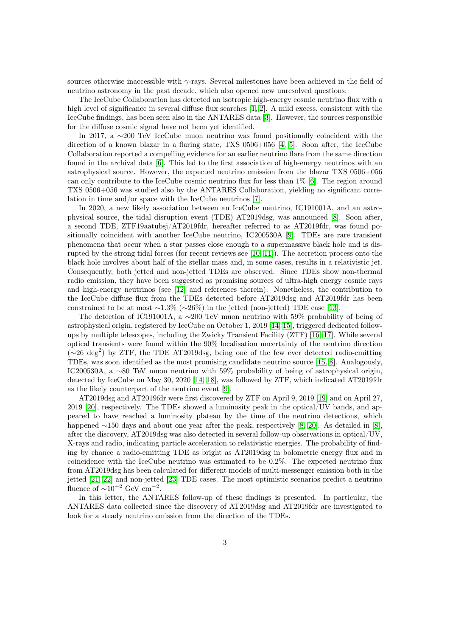sources otherwise inaccessible with  $\gamma$ -rays. Several milestones have been achieved in the field of neutrino astronomy in the past decade, which also opened new unresolved questions.

The IceCube Collaboration has detected an isotropic high-energy cosmic neutrino flux with a high level of significance in several diffuse flux searches [\[1,](#page-8-0) [2\]](#page-8-1). A mild excess, consistent with the IceCube findings, has been seen also in the ANTARES data [\[3\]](#page-8-2). However, the sources responsible for the diffuse cosmic signal have not been yet identified.

In 2017, a ∼200 TeV IceCube muon neutrino was found positionally coincident with the direction of a known blazar in a flaring state, TXS 0506+056 [\[4,](#page-8-3) [5\]](#page-8-4). Soon after, the IceCube Collaboration reported a compelling evidence for an earlier neutrino flare from the same direction found in the archival data [\[6\]](#page-8-5). This led to the first association of high-energy neutrinos with an astrophysical source. However, the expected neutrino emission from the blazar TXS 0506+056 can only contribute to the IceCube cosmic neutrino flux for less than 1% [\[6\]](#page-8-5). The region around TXS 0506+056 was studied also by the ANTARES Collaboration, yielding no significant correlation in time and/or space with the IceCube neutrinos [\[7\]](#page-8-6).

In 2020, a new likely association between an IceCube neutrino, IC191001A, and an astrophysical source, the tidal disruption event (TDE) AT2019dsg, was announced [\[8\]](#page-8-7). Soon after, a second TDE, ZTF19aatubsj/AT2019fdr, hereafter referred to as AT2019fdr, was found positionally coincident with another IceCube neutrino, IC200530A [\[9\]](#page-8-8). TDEs are rare transient phenomena that occur when a star passes close enough to a supermassive black hole and is disrupted by the strong tidal forces (for recent reviews see [\[10,](#page-8-9) [11\]](#page-8-10)). The accretion process onto the black hole involves about half of the stellar mass and, in some cases, results in a relativistic jet. Consequently, both jetted and non-jetted TDEs are observed. Since TDEs show non-thermal radio emission, they have been suggested as promising sources of ultra-high energy cosmic rays and high-energy neutrinos (see [\[12\]](#page-9-0) and references therein). Nonetheless, the contribution to the IceCube diffuse flux from the TDEs detected before AT2019dsg and AT2019fdr has been constrained to be at most ∼1.3% (∼26%) in the jetted (non-jetted) TDE case [\[13\]](#page-9-1).

The detection of IC191001A, a ∼200 TeV muon neutrino with 59% probability of being of astrophysical origin, registered by IceCube on October 1, 2019 [\[14,](#page-9-2) [15\]](#page-9-3), triggered dedicated followups by multiple telescopes, including the Zwicky Transient Facility (ZTF) [\[16,](#page-9-4) [17\]](#page-9-5). While several optical transients were found within the 90% localisation uncertainty of the neutrino direction ( $\sim$ 26 deg<sup>2</sup>) by ZTF, the TDE AT2019dsg, being one of the few ever detected radio-emitting TDEs, was soon identified as the most promising candidate neutrino source [\[15,](#page-9-3) [8\]](#page-8-7). Analogously, IC200530A, a ∼80 TeV muon neutrino with 59% probability of being of astrophysical origin, detected by IceCube on May 30, 2020 [\[14,](#page-9-2) [18\]](#page-9-6), was followed by ZTF, which indicated AT2019fdr as the likely counterpart of the neutrino event [\[9\]](#page-8-8).

AT2019dsg and AT2019fdr were first discovered by ZTF on April 9, 2019 [\[19\]](#page-9-7) and on April 27, 2019 [\[20\]](#page-9-8), respectively. The TDEs showed a luminosity peak in the optical/UV bands, and appeared to have reached a luminosity plateau by the time of the neutrino detections, which happened ∼150 days and about one year after the peak, respectively [\[8,](#page-8-7) [20\]](#page-9-8). As detailed in [\[8\]](#page-8-7), after the discovery, AT2019dsg was also detected in several follow-up observations in optical/UV, X-rays and radio, indicating particle acceleration to relativistic energies. The probability of finding by chance a radio-emitting TDE as bright as AT2019dsg in bolometric energy flux and in coincidence with the IceCube neutrino was estimated to be 0.2%. The expected neutrino flux from AT2019dsg has been calculated for different models of multi-messenger emission both in the jetted [\[21,](#page-9-9) [22\]](#page-9-10) and non-jetted [\[23\]](#page-9-11) TDE cases. The most optimistic scenarios predict a neutrino fluence of  $\sim 10^{-2}$  GeV cm<sup>-2</sup>.

In this letter, the ANTARES follow-up of these findings is presented. In particular, the ANTARES data collected since the discovery of AT2019dsg and AT2019fdr are investigated to look for a steady neutrino emission from the direction of the TDEs.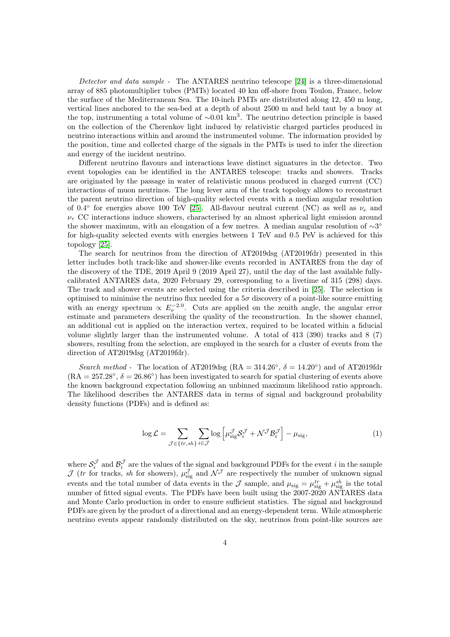Detector and data sample - The ANTARES neutrino telescope [\[24\]](#page-9-12) is a three-dimensional array of 885 photomultiplier tubes (PMTs) located 40 km off-shore from Toulon, France, below the surface of the Mediterranean Sea. The 10-inch PMTs are distributed along 12, 450 m long, vertical lines anchored to the sea-bed at a depth of about 2500 m and held taut by a buoy at the top, instrumenting a total volume of  $\sim 0.01 \text{ km}^3$ . The neutrino detection principle is based on the collection of the Cherenkov light induced by relativistic charged particles produced in neutrino interactions within and around the instrumented volume. The information provided by the position, time and collected charge of the signals in the PMTs is used to infer the direction and energy of the incident neutrino.

Different neutrino flavours and interactions leave distinct signatures in the detector. Two event topologies can be identified in the ANTARES telescope: tracks and showers. Tracks are originated by the passage in water of relativistic muons produced in charged current (CC) interactions of muon neutrinos. The long lever arm of the track topology allows to reconstruct the parent neutrino direction of high-quality selected events with a median angular resolution of 0.4° for energies above 100 TeV [\[25\]](#page-9-13). All-flavour neutral current (NC) as well as  $\nu_e$  and  $\nu_{\tau}$  CC interactions induce showers, characterised by an almost spherical light emission around the shower maximum, with an elongation of a few metres. A median angular resolution of ∼3° for high-quality selected events with energies between 1 TeV and 0.5 PeV is achieved for this topology [\[25\]](#page-9-13).

The search for neutrinos from the direction of AT2019dsg (AT2019fdr) presented in this letter includes both track-like and shower-like events recorded in ANTARES from the day of the discovery of the TDE, 2019 April 9 (2019 April 27), until the day of the last available fullycalibrated ANTARES data, 2020 February 29, corresponding to a livetime of 315 (298) days. The track and shower events are selected using the criteria described in [\[25\]](#page-9-13). The selection is optimised to minimise the neutrino flux needed for a  $5\sigma$  discovery of a point-like source emitting with an energy spectrum  $\propto E_\nu^{-2.0}$ . Cuts are applied on the zenith angle, the angular error estimate and parameters describing the quality of the reconstruction. In the shower channel, an additional cut is applied on the interaction vertex, required to be located within a fiducial volume slightly larger than the instrumented volume. A total of 413 (390) tracks and 8 (7) showers, resulting from the selection, are employed in the search for a cluster of events from the direction of AT2019dsg (AT2019fdr).

Search method - The location of AT2019dsg (RA = 314.26°,  $\delta = 14.20°$ ) and of AT2019fdr  $(RA = 257.28°, \delta = 26.86°)$  has been investigated to search for spatial clustering of events above the known background expectation following an unbinned maximum likelihood ratio approach. The likelihood describes the ANTARES data in terms of signal and background probability density functions (PDFs) and is defined as:

$$
\log \mathcal{L} = \sum_{\mathcal{J} \in \{tr, sh\}} \sum_{i \in \mathcal{J}} \log \left[ \mu_{\text{sig}}^{\mathcal{J}} \mathcal{S}_i^{\mathcal{J}} + \mathcal{N}^{\mathcal{J}} \mathcal{B}_i^{\mathcal{J}} \right] - \mu_{\text{sig}},\tag{1}
$$

where  $S_i^{\mathcal{J}}$  and  $\mathcal{B}_i^{\mathcal{J}}$  are the values of the signal and background PDFs for the event *i* in the sample  $\mathcal J$  (tr for tracks, sh for showers),  $\mu_{\text{sig}}^{\mathcal J}$  and  $\mathcal N^{\mathcal J}$  are respectively the number of unknown signal events and the total number of data events in the  $\mathcal{J}$  sample, and  $\mu_{sig} = \mu_{sig}^{tr} + \mu_{sig}^{sh}$  is the total number of fitted signal events. The PDFs have been built using the 2007-2020 ANTARES data and Monte Carlo production in order to ensure sufficient statistics. The signal and background PDFs are given by the product of a directional and an energy-dependent term. While atmospheric neutrino events appear randomly distributed on the sky, neutrinos from point-like sources are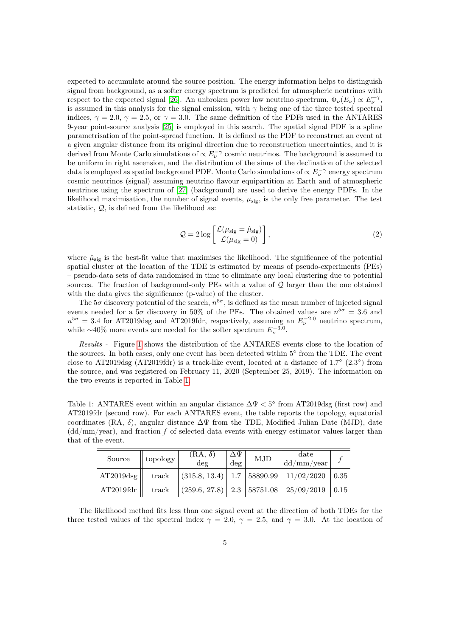expected to accumulate around the source position. The energy information helps to distinguish signal from background, as a softer energy spectrum is predicted for atmospheric neutrinos with respect to the expected signal [\[26\]](#page-9-14). An unbroken power law neutrino spectrum,  $\Phi_{\nu}(E_{\nu}) \propto E_{\nu}^{-\gamma}$ , is assumed in this analysis for the signal emission, with  $\gamma$  being one of the three tested spectral indices,  $\gamma = 2.0, \gamma = 2.5$ , or  $\gamma = 3.0$ . The same definition of the PDFs used in the ANTARES 9-year point-source analysis [\[25\]](#page-9-13) is employed in this search. The spatial signal PDF is a spline parametrisation of the point-spread function. It is defined as the PDF to reconstruct an event at a given angular distance from its original direction due to reconstruction uncertainties, and it is derived from Monte Carlo simulations of  $\propto E_{\nu}^{-\gamma}$  cosmic neutrinos. The background is assumed to be uniform in right ascension, and the distribution of the sinus of the declination of the selected data is employed as spatial background PDF. Monte Carlo simulations of  $\propto E_{\nu}^{-\gamma}$  energy spectrum cosmic neutrinos (signal) assuming neutrino flavour equipartition at Earth and of atmospheric neutrinos using the spectrum of [\[27\]](#page-9-15) (background) are used to derive the energy PDFs. In the likelihood maximisation, the number of signal events,  $\mu_{\text{sig}}$ , is the only free parameter. The test statistic, Q, is defined from the likelihood as:

$$
Q = 2 \log \left[ \frac{\mathcal{L}(\mu_{\text{sig}} = \hat{\mu}_{\text{sig}})}{\mathcal{L}(\mu_{\text{sig}} = 0)} \right],
$$
\n(2)

where  $\hat{\mu}_{sig}$  is the best-fit value that maximises the likelihood. The significance of the potential spatial cluster at the location of the TDE is estimated by means of pseudo-experiments (PEs) – pseudo-data sets of data randomised in time to eliminate any local clustering due to potential sources. The fraction of background-only PEs with a value of  $\mathcal Q$  larger than the one obtained with the data gives the significance (p-value) of the cluster.

The  $5\sigma$  discovery potential of the search,  $n^{5\sigma}$ , is defined as the mean number of injected signal events needed for a  $5\sigma$  discovery in 50% of the PEs. The obtained values are  $n^{5\sigma} = 3.6$  and  $n^{5\sigma} = 3.4$  for AT2019dsg and AT2019fdr, respectively, assuming an  $E_{\nu}^{-2.0}$  neutrino spectrum, while ~40% more events are needed for the softer spectrum  $E_{\nu}^{-3.0}$ .

Results - Figure [1](#page-6-0) shows the distribution of the ANTARES events close to the location of the sources. In both cases, only one event has been detected within 5° from the TDE. The event close to AT2019dsg (AT2019fdr) is a track-like event, located at a distance of  $1.7^{\circ}$  (2.3°) from the source, and was registered on February 11, 2020 (September 25, 2019). The information on the two events is reported in Table [1.](#page-5-0)

<span id="page-5-0"></span>Table 1: ANTARES event within an angular distance  $\Delta \Psi < 5^{\circ}$  from AT2019dsg (first row) and AT2019fdr (second row). For each ANTARES event, the table reports the topology, equatorial coordinates (RA, δ), angular distance ∆Ψ from the TDE, Modified Julian Date (MJD), date (dd/mm/year), and fraction *f* of selected data events with energy estimator values larger than that of the event.

| Source             | topology | $(RA, \delta)$<br>$\deg$ | $^{\shortparallel}\Delta\Psi_{\shortparallel}$<br>$\deg$ | ${\rm MJD}$ | $_{\rm date}$<br>dd/mm/year                                                        |  |
|--------------------|----------|--------------------------|----------------------------------------------------------|-------------|------------------------------------------------------------------------------------|--|
| $AT2019\text{dsg}$ | track    |                          |                                                          |             | $\vert$ (315.8, 13.4) $\vert$ 1.7 $\vert$ 58890.99 $\vert$ 11/02/2020 $\vert$ 0.35 |  |
| AT2019fdr          |          |                          |                                                          |             | track $ (259.6, 27.8)  2.3   58751.08   25/09/2019   0.15$                         |  |

The likelihood method fits less than one signal event at the direction of both TDEs for the three tested values of the spectral index  $\gamma = 2.0, \gamma = 2.5,$  and  $\gamma = 3.0$ . At the location of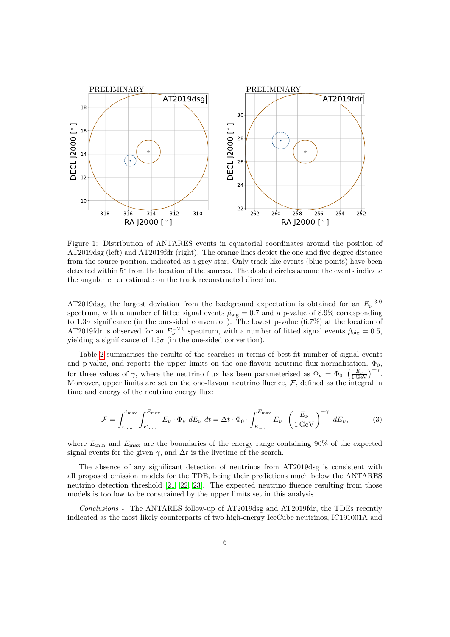<span id="page-6-0"></span>

Figure 1: Distribution of ANTARES events in equatorial coordinates around the position of AT2019dsg (left) and AT2019fdr (right). The orange lines depict the one and five degree distance from the source position, indicated as a grey star. Only track-like events (blue points) have been detected within 5° from the location of the sources. The dashed circles around the events indicate the angular error estimate on the track reconstructed direction.

AT2019dsg, the largest deviation from the background expectation is obtained for an  $E_{\nu}^{-3.0}$ spectrum, with a number of fitted signal events  $\hat{\mu}_{sig} = 0.7$  and a p-value of 8.9% corresponding to 1.3 $\sigma$  significance (in the one-sided convention). The lowest p-value (6.7%) at the location of AT2019fdr is observed for an  $E_{\nu}^{-2.0}$  spectrum, with a number of fitted signal events  $\hat{\mu}_{sig} = 0.5$ , yielding a significance of  $1.5\sigma$  (in the one-sided convention).

Table [2](#page-7-0) summarises the results of the searches in terms of best-fit number of signal events and p-value, and reports the upper limits on the one-flavour neutrino flux normalisation,  $\Phi_0$ , for three values of  $\gamma$ , where the neutrino flux has been parameterised as  $\Phi_{\nu} = \Phi_0 \left( \frac{E_{\nu}}{1 \text{ GeV}} \right)^{-\gamma}$ . Moreover, upper limits are set on the one-flavour neutrino fluence,  $\mathcal{F}$ , defined as the integral in time and energy of the neutrino energy flux:

$$
\mathcal{F} = \int_{t_{\min}}^{t_{\max}} \int_{E_{\min}}^{E_{\max}} E_{\nu} \cdot \Phi_{\nu} dE_{\nu} dt = \Delta t \cdot \Phi_0 \cdot \int_{E_{\min}}^{E_{\max}} E_{\nu} \cdot \left(\frac{E_{\nu}}{1 \,\text{GeV}}\right)^{-\gamma} dE_{\nu},\tag{3}
$$

where  $E_{\text{min}}$  and  $E_{\text{max}}$  are the boundaries of the energy range containing 90% of the expected signal events for the given  $\gamma$ , and  $\Delta t$  is the livetime of the search.

The absence of any significant detection of neutrinos from AT2019dsg is consistent with all proposed emission models for the TDE, being their predictions much below the ANTARES neutrino detection threshold [\[21,](#page-9-9) [22,](#page-9-10) [23\]](#page-9-11). The expected neutrino fluence resulting from those models is too low to be constrained by the upper limits set in this analysis.

Conclusions - The ANTARES follow-up of AT2019dsg and AT2019fdr, the TDEs recently indicated as the most likely counterparts of two high-energy IceCube neutrinos, IC191001A and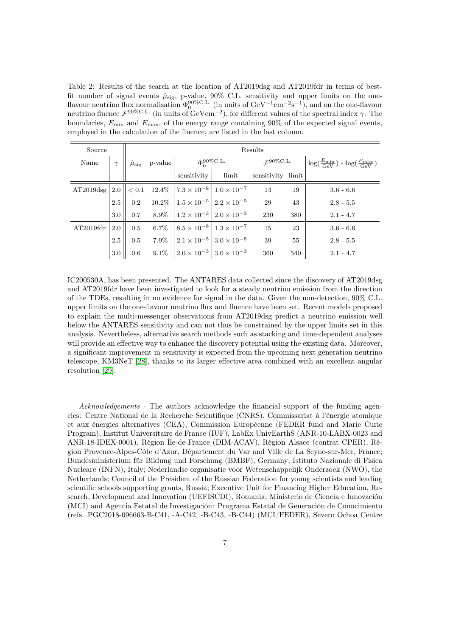<span id="page-7-0"></span>Table 2: Results of the search at the location of AT2019dsg and AT2019fdr in terms of bestfit number of signal events  $\hat{\mu}_{sig}$ , p-value, 90% C.L. sensitivity and upper limits on the oneflavour neutrino flux normalisation  $\Phi_0^{90\%C.L.}$  (in units of GeV<sup>-1</sup>cm<sup>-2</sup>s<sup>-1</sup>), and on the one-flavour neutrino fluence  $\mathcal{F}^{90\%C.L.}$  (in units of GeVcm<sup>-2</sup>), for different values of the spectral index  $\gamma$ . The boundaries,  $E_{\text{min}}$  and  $E_{\text{max}}$ , of the energy range containing 90% of the expected signal events, employed in the calculation of the fluence, are listed in the last column.

| Source                   |          | Results                  |         |                                                             |                                                            |                                   |     |                                                                           |  |
|--------------------------|----------|--------------------------|---------|-------------------------------------------------------------|------------------------------------------------------------|-----------------------------------|-----|---------------------------------------------------------------------------|--|
| Name                     | $\gamma$ | $\hat{\mu}_{\text{sig}}$ | p-value | $\Phi_0^{90\%C.L.}$                                         |                                                            | $\mathcal{F}^{\mathrm{90\%C.L.}}$ |     | $\log(\frac{E_{\min}}{\text{GeV}})$ - $\log(\frac{E_{\max}}{\text{GeV}})$ |  |
|                          |          |                          |         | sensitivity                                                 | limit                                                      | sensitivity limit                 |     |                                                                           |  |
| $AT2019\text{dsg}$   2.0 |          | < 0.1                    |         | $12.4\%$   $7.3 \times 10^{-8}$   $1.0 \times 10^{-7}$      |                                                            | 14                                | 19  | $3.6 - 6.6$                                                               |  |
|                          | 2.5      | 0.2                      |         |                                                             | $10.2\%$ $1.5 \times 10^{-5}$ $2.2 \times 10^{-5}$         | 29                                | 43  | $2.8 - 5.5$                                                               |  |
|                          | 3.0      | 0.7                      |         | 8.9% $\left  1.2 \times 10^{-3} \right  2.0 \times 10^{-3}$ |                                                            | 230                               | 380 | $2.1 - 4.7$                                                               |  |
| AT2019fdr                | 2.0      | 0.5                      | $6.7\%$ |                                                             | $8.5 \times 10^{-8}$ $1.3 \times 10^{-7}$                  | 15                                | 23  | $3.6 - 6.6$                                                               |  |
|                          | 2.5      | 0.5                      | $7.9\%$ |                                                             | $\vert 2.1 \times 10^{-5} \vert 3.0 \times 10^{-5} \vert$  | 39                                | 55  | $2.8 - 5.5$                                                               |  |
|                          | 3.0      | 0.6                      |         |                                                             | 9.1% $\Big 2.0 \times 10^{-3}\Big 3.0 \times 10^{-3}\Big $ | 360                               | 540 | $2.1 - 4.7$                                                               |  |

IC200530A, has been presented. The ANTARES data collected since the discovery of AT2019dsg and AT2019fdr have been investigated to look for a steady neutrino emission from the direction of the TDEs, resulting in no evidence for signal in the data. Given the non-detection, 90% C.L. upper limits on the one-flavour neutrino flux and fluence have been set. Recent models proposed to explain the multi-messenger observations from AT2019dsg predict a neutrino emission well below the ANTARES sensitivity and can not thus be constrained by the upper limits set in this analysis. Nevertheless, alternative search methods such as stacking and time-dependent analyses will provide an effective way to enhance the discovery potential using the existing data. Moreover, a significant improvement in sensitivity is expected from the upcoming next generation neutrino telescope, KM3NeT [\[28\]](#page-10-0), thanks to its larger effective area combined with an excellent angular resolution [\[29\]](#page-10-1).

Acknowledgements - The authors acknowledge the financial support of the funding agencies: Centre National de la Recherche Scientifique (CNRS), Commissariat à l'énergie atomique et aux énergies alternatives (CEA), Commission Européenne (FEDER fund and Marie Curie Program), Institut Universitaire de France (IUF), LabEx UnivEarthS (ANR-10-LABX-0023 and ANR-18-IDEX-0001), Région Île-de-France (DIM-ACAV), Région Alsace (contrat CPER), Région Provence-Alpes-Côte d'Azur, Département du Var and Ville de La Seyne-sur-Mer, France; Bundesministerium für Bildung und Forschung (BMBF), Germany; Istituto Nazionale di Fisica Nucleare (INFN), Italy; Nederlandse organisatie voor Wetenschappelijk Onderzoek (NWO), the Netherlands; Council of the President of the Russian Federation for young scientists and leading scientific schools supporting grants, Russia; Executive Unit for Financing Higher Education, Research, Development and Innovation (UEFISCDI), Romania; Ministerio de Ciencia e Innovación (MCI) and Agencia Estatal de Investigación: Programa Estatal de Generación de Conocimiento (refs. PGC2018-096663-B-C41, -A-C42, -B-C43, -B-C44) (MCI/FEDER), Severo Ochoa Centre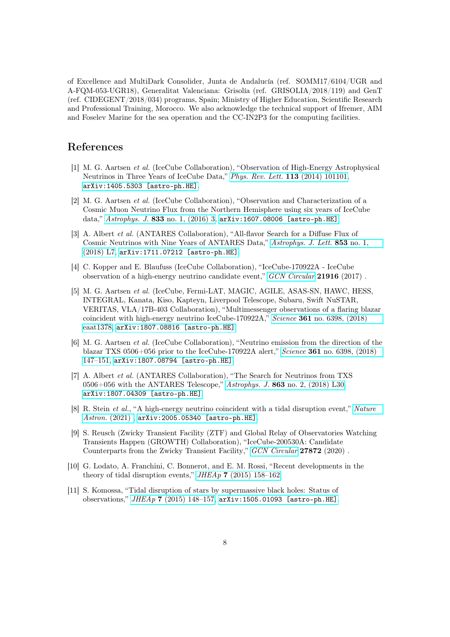of Excellence and MultiDark Consolider, Junta de Andalucía (ref. SOMM17/6104/UGR and A-FQM-053-UGR18), Generalitat Valenciana: Grisolía (ref. GRISOLIA/2018/119) and GenT (ref. CIDEGENT/2018/034) programs, Spain; Ministry of Higher Education, Scientific Research and Professional Training, Morocco. We also acknowledge the technical support of Ifremer, AIM and Foselev Marine for the sea operation and the CC-IN2P3 for the computing facilities.

## References

- <span id="page-8-0"></span>[1] M. G. Aartsen et al. (IceCube Collaboration), "Observation of High-Energy Astrophysical Neutrinos in Three Years of IceCube Data," [Phys. Rev. Lett.](http://dx.doi.org/10.1103/PhysRevLett.113.101101) 113 (2014) 101101, [arXiv:1405.5303 \[astro-ph.HE\]](http://arxiv.org/abs/1405.5303).
- <span id="page-8-1"></span>[2] M. G. Aartsen et al. (IceCube Collaboration), "Observation and Characterization of a Cosmic Muon Neutrino Flux from the Northern Hemisphere using six years of IceCube data," Astrophys. J. 833 [no. 1, \(2016\) 3,](http://dx.doi.org/10.3847/0004-637X/833/1/3) [arXiv:1607.08006 \[astro-ph.HE\]](http://arxiv.org/abs/1607.08006).
- <span id="page-8-2"></span>[3] A. Albert et al. (ANTARES Collaboration), "All-flavor Search for a Diffuse Flux of Cosmic Neutrinos with Nine Years of ANTARES Data," [Astrophys. J. Lett.](http://dx.doi.org/10.3847/2041-8213/aaa4f6) 853 no. 1, [\(2018\) L7,](http://dx.doi.org/10.3847/2041-8213/aaa4f6) [arXiv:1711.07212 \[astro-ph.HE\]](http://arxiv.org/abs/1711.07212).
- <span id="page-8-3"></span>[4] C. Kopper and E. Blaufuss (IceCube Collaboration), "IceCube-170922A - IceCube observation of a high-energy neutrino candidate event," [GCN Circular](https://gcn.gsfc.nasa.gov/other/icecube_170922A.gcn3) 21916 (2017) .
- <span id="page-8-4"></span>[5] M. G. Aartsen et al. (IceCube, Fermi-LAT, MAGIC, AGILE, ASAS-SN, HAWC, HESS, INTEGRAL, Kanata, Kiso, Kapteyn, Liverpool Telescope, Subaru, Swift NuSTAR, VERITAS, VLA/17B-403 Collaboration), "Multimessenger observations of a flaring blazar coincident with high-energy neutrino IceCube-170922A," Science 361 [no. 6398, \(2018\)](http://dx.doi.org/10.1126/science.aat1378) [eaat1378,](http://dx.doi.org/10.1126/science.aat1378) [arXiv:1807.08816 \[astro-ph.HE\]](http://arxiv.org/abs/1807.08816).
- <span id="page-8-5"></span>[6] M. G. Aartsen et al. (IceCube Collaboration), "Neutrino emission from the direction of the blazar TXS 0506+056 prior to the IceCube-170922A alert," Science 361 [no. 6398, \(2018\)](http://dx.doi.org/10.1126/science.aat2890) [147–151,](http://dx.doi.org/10.1126/science.aat2890) [arXiv:1807.08794 \[astro-ph.HE\]](http://arxiv.org/abs/1807.08794).
- <span id="page-8-6"></span>[7] A. Albert et al. (ANTARES Collaboration), "The Search for Neutrinos from TXS 0506+056 with the ANTARES Telescope," Astrophys. J. 863 [no. 2, \(2018\) L30,](http://dx.doi.org/10.3847/2041-8213/aad8c0) [arXiv:1807.04309 \[astro-ph.HE\]](http://arxiv.org/abs/1807.04309).
- <span id="page-8-7"></span>[8] R. Stein et al., "A high-energy neutrino coincident with a tidal disruption event," [Nature](http://dx.doi.org/10.1038/s41550-020-01295-8) [Astron.](http://dx.doi.org/10.1038/s41550-020-01295-8) (2021) , [arXiv:2005.05340 \[astro-ph.HE\]](http://arxiv.org/abs/2005.05340).
- <span id="page-8-8"></span>[9] S. Reusch (Zwicky Transient Facility (ZTF) and Global Relay of Observatories Watching Transients Happen (GROWTH) Collaboration), "IceCube-200530A: Candidate Counterparts from the Zwicky Transient Facility," [GCN Circular](https://gcn.gsfc.nasa.gov/gcn3/27872.gcn3) 27872 (2020) .
- <span id="page-8-9"></span>[10] G. Lodato, A. Franchini, C. Bonnerot, and E. M. Rossi, "Recent developments in the theory of tidal disruption events,"  $JHEAp$  7 [\(2015\) 158–162.](http://dx.doi.org/10.1016/j.jheap.2015.04.003)
- <span id="page-8-10"></span>[11] S. Komossa, "Tidal disruption of stars by supermassive black holes: Status of observations," JHEAp 7 [\(2015\) 148–157,](http://dx.doi.org/10.1016/j.jheap.2015.04.006) [arXiv:1505.01093 \[astro-ph.HE\]](http://arxiv.org/abs/1505.01093).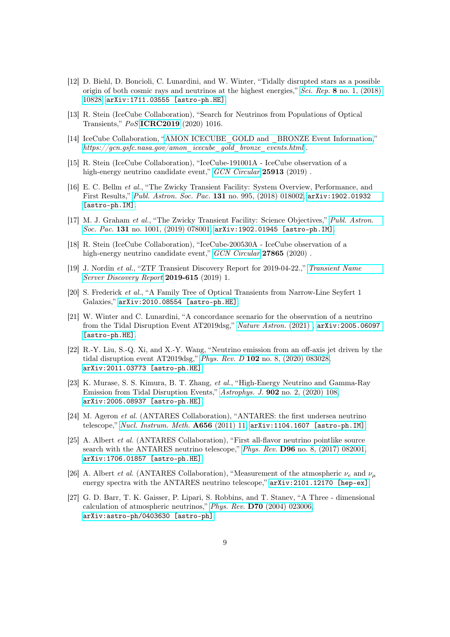- <span id="page-9-0"></span>[12] D. Biehl, D. Boncioli, C. Lunardini, and W. Winter, "Tidally disrupted stars as a possible origin of both cosmic rays and neutrinos at the highest energies," Sci. Rep. 8 [no. 1, \(2018\)](http://dx.doi.org/10.1038/s41598-018-29022-4) [10828,](http://dx.doi.org/10.1038/s41598-018-29022-4) [arXiv:1711.03555 \[astro-ph.HE\]](http://arxiv.org/abs/1711.03555).
- <span id="page-9-1"></span>[13] R. Stein (IceCube Collaboration), "Search for Neutrinos from Populations of Optical Transients," PoS [ICRC2019](https://pos.sissa.it/358/1016) (2020) 1016.
- <span id="page-9-2"></span>[14] IceCube Collaboration, ["AMON ICECUBE\\_GOLD and \\_BRONZE Event Information,](https://gcn.gsfc.nasa.gov/amon_icecube_gold_bronze_events.html)" [https://gcn.gsfc.nasa.gov/amon\\_icecube\\_gold\\_bronze\\_events.html](https://gcn.gsfc.nasa.gov/amon_icecube_gold_bronze_events.html) .
- <span id="page-9-3"></span>[15] R. Stein (IceCube Collaboration), "IceCube-191001A - IceCube observation of a high-energy neutrino candidate event," [GCN Circular](https://gcn.gsfc.nasa.gov/other/icecube_191001A.gcn3) 25913 (2019).
- <span id="page-9-4"></span>[16] E. C. Bellm et al., "The Zwicky Transient Facility: System Overview, Performance, and First Results," [Publ. Astron. Soc. Pac.](http://dx.doi.org/10.1088/1538-3873/aaecbe) 131 no. 995, (2018) 018002, [arXiv:1902.01932](http://arxiv.org/abs/1902.01932) [\[astro-ph.IM\]](http://arxiv.org/abs/1902.01932).
- <span id="page-9-5"></span>[17] M. J. Graham et al., "The Zwicky Transient Facility: Science Objectives," [Publ. Astron.](http://dx.doi.org/10.1088/1538-3873/ab006c) Soc. Pac. 131 [no. 1001, \(2019\) 078001,](http://dx.doi.org/10.1088/1538-3873/ab006c) [arXiv:1902.01945 \[astro-ph.IM\]](http://arxiv.org/abs/1902.01945).
- <span id="page-9-6"></span>[18] R. Stein (IceCube Collaboration), "IceCube-200530A - IceCube observation of a high-energy neutrino candidate event," [GCN Circular](https://gcn.gsfc.nasa.gov/gcn3/27865.gcn3) 27865 (2020).
- <span id="page-9-7"></span>[19] J. Nordin et al., "ZTF Transient Discovery Report for 2019-04-22.," [Transient Name](https://wis-tns.weizmann.ac.il/ads/TNSTR-2019-615) [Server Discovery Report](https://wis-tns.weizmann.ac.il/ads/TNSTR-2019-615) 2019-615 (2019) 1.
- <span id="page-9-8"></span>[20] S. Frederick et al., "A Family Tree of Optical Transients from Narrow-Line Seyfert 1 Galaxies," [arXiv:2010.08554 \[astro-ph.HE\]](http://arxiv.org/abs/2010.08554).
- <span id="page-9-9"></span>[21] W. Winter and C. Lunardini, "A concordance scenario for the observation of a neutrino from the Tidal Disruption Event AT2019dsg," [Nature Astron.](http://dx.doi.org/10.1038/s41550-021-01305-3) (2021) , [arXiv:2005.06097](http://arxiv.org/abs/2005.06097) [\[astro-ph.HE\]](http://arxiv.org/abs/2005.06097).
- <span id="page-9-10"></span>[22] R.-Y. Liu, S.-Q. Xi, and X.-Y. Wang, "Neutrino emission from an off-axis jet driven by the tidal disruption event AT2019dsg," Phys. Rev. D 102 [no. 8, \(2020\) 083028,](http://dx.doi.org/10.1103/PhysRevD.102.083028) [arXiv:2011.03773 \[astro-ph.HE\]](http://arxiv.org/abs/2011.03773).
- <span id="page-9-11"></span>[23] K. Murase, S. S. Kimura, B. T. Zhang, et al., "High-Energy Neutrino and Gamma-Ray Emission from Tidal Disruption Events," Astrophys. J. 902 [no. 2, \(2020\) 108,](http://dx.doi.org/10.3847/1538-4357/abb3c0) [arXiv:2005.08937 \[astro-ph.HE\]](http://arxiv.org/abs/2005.08937).
- <span id="page-9-12"></span>[24] M. Ageron et al. (ANTARES Collaboration), "ANTARES: the first undersea neutrino telescope," [Nucl. Instrum. Meth.](http://dx.doi.org/10.1016/j.nima.2011.06.103) A656 (2011) 11, [arXiv:1104.1607 \[astro-ph.IM\]](http://arxiv.org/abs/1104.1607).
- <span id="page-9-13"></span>[25] A. Albert et al. (ANTARES Collaboration), "First all-flavor neutrino pointlike source search with the ANTARES neutrino telescope," Phys. Rev. D96 [no. 8, \(2017\) 082001,](http://dx.doi.org/10.1103/PhysRevD.96.082001) [arXiv:1706.01857 \[astro-ph.HE\]](http://arxiv.org/abs/1706.01857).
- <span id="page-9-14"></span>[26] A. Albert *et al.* (ANTARES Collaboration), "Measurement of the atmospheric  $\nu_e$  and  $\nu_\mu$ energy spectra with the ANTARES neutrino telescope," [arXiv:2101.12170 \[hep-ex\]](http://arxiv.org/abs/2101.12170).
- <span id="page-9-15"></span>[27] G. D. Barr, T. K. Gaisser, P. Lipari, S. Robbins, and T. Stanev, "A Three - dimensional calculation of atmospheric neutrinos," Phys. Rev. D70 [\(2004\) 023006,](http://dx.doi.org/10.1103/PhysRevD.70.023006) [arXiv:astro-ph/0403630 \[astro-ph\]](http://arxiv.org/abs/astro-ph/0403630).